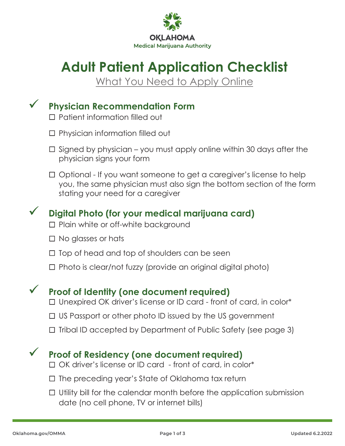

# **Adult Patient Application Checklist**

What You Need to Apply Online

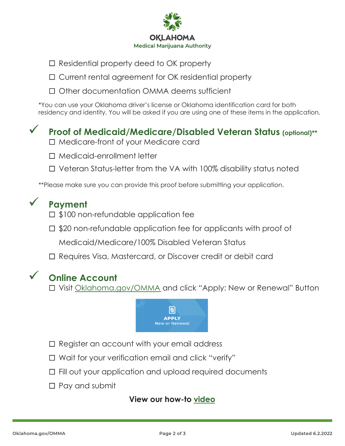

- $\Box$  Residential property deed to OK property
- □ Current rental agreement for OK residential property
- Other documentation OMMA deems sufficient

\*You can use your Oklahoma driver's license or Oklahoma identification card for both residency and identity. You will be asked if you are using one of these items in the application.

### **Proof of Medicaid/Medicare/Disabled Veteran Status (optional)\*\***

- □ Medicare-front of your Medicare card
- Medicaid-enrollment letter
- □ Veteran Status-letter from the VA with 100% disability status noted

\*\*Please make sure you can provide this proof before submitting your application.

## **Payment**

- $\Box$  \$100 non-refundable application fee
- □ \$20 non-refundable application fee for applicants with proof of

Medicaid/Medicare/100% Disabled Veteran Status

□ Requires Visa, Mastercard, or Discover credit or debit card

#### **Online Account**

□ Visit [Oklahoma.gov/OMMA](https://oklahoma.gov/omma.html) and click "Apply: New or Renewal" Button



- $\Box$  Register an account with your email address
- $\Box$  Wait for your verification email and click "verify"
- Fill out your application and upload required documents
- $\Box$  Pay and submit

#### **[View our how-to video](https://www.youtube.com/watch?v=pLrCDSLwgJI)**